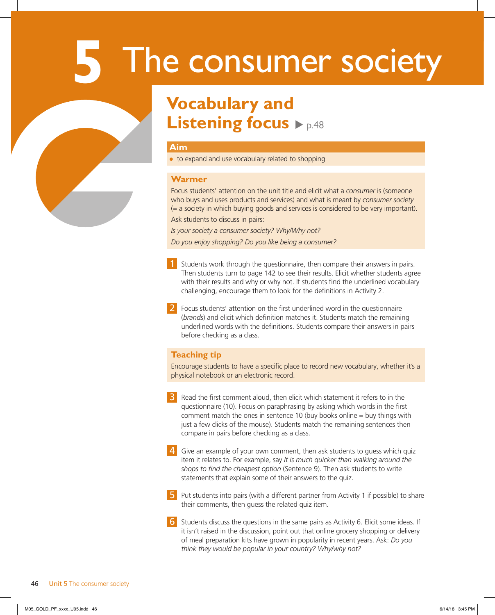# **5** The consumer society

# **Vocabulary and Listening focus**  $\rho_{\text{p.48}}$

### **Aim**

● to expand and use vocabulary related to shopping

### **Warmer**

Focus students' attention on the unit title and elicit what a *consumer* is (someone who buys and uses products and services) and what is meant by *consumer society* (= a society in which buying goods and services is considered to be very important).

Ask students to discuss in pairs:

*Is your society a consumer society? Why/Why not?*

*Do you enjoy shopping? Do you like being a consumer?*

- <sup>1</sup> Students work through the questionnaire, then compare their answers in pairs. Then students turn to page 142 to see their results. Elicit whether students agree with their results and why or why not. If students find the underlined vocabulary challenging, encourage them to look for the definitions in Activity 2.
- 2 Focus students' attention on the first underlined word in the questionnaire (*brands*) and elicit which definition matches it. Students match the remaining underlined words with the definitions. Students compare their answers in pairs before checking as a class.

### **Teaching tip**

Encourage students to have a specific place to record new vocabulary, whether it's a physical notebook or an electronic record.

**3** Read the first comment aloud, then elicit which statement it refers to in the questionnaire (10). Focus on paraphrasing by asking which words in the first comment match the ones in sentence 10 (buy books online = buy things with just a few clicks of the mouse). Students match the remaining sentences then compare in pairs before checking as a class.

4 Give an example of your own comment, then ask students to guess which quiz item it relates to. For example, say *It is much quicker than walking around the shops to find the cheapest option* (Sentence 9). Then ask students to write statements that explain some of their answers to the quiz.

**5** Put students into pairs (with a different partner from Activity 1 if possible) to share their comments, then guess the related quiz item.

6 Students discuss the questions in the same pairs as Activity 6. Elicit some ideas. If it isn't raised in the discussion, point out that online grocery shopping or delivery of meal preparation kits have grown in popularity in recent years. Ask: *Do you think they would be popular in your country? Why/why not?*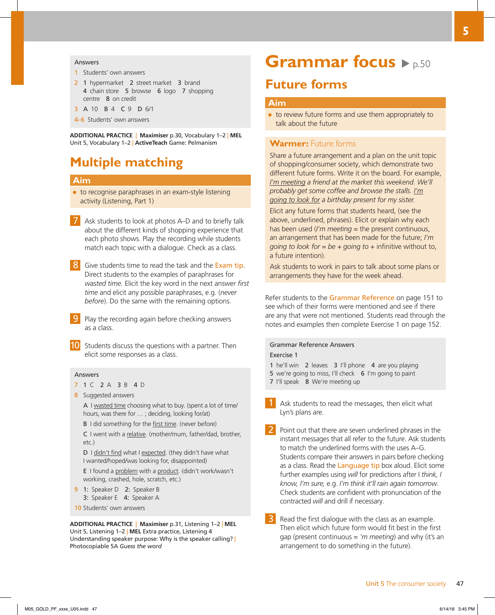#### **Answers**

- 1 Students' own answers
- 2 1 hypermarket 2 street market 3 brand 4 chain store 5 browse 6 logo 7 shopping centre 8 on credit
- 3 A 10 B 4 C 9 D 6/1
- 4–6 Students' own answers

**ADDITIONAL PRACTICE** | **Maximiser** p.30, Vocabulary 1–2 | **MEL** Unit 5, Vocabulary 1–2 | **ActiveTeach** Game: Pelmanism

### **Multiple matching**

### **Aim**

- to recognise paraphrases in an exam-style listening activity (Listening, Part 1)
- 7 Ask students to look at photos A–D and to briefly talk about the different kinds of shopping experience that each photo shows. Play the recording while students match each topic with a dialogue. Check as a class.
- 8 Give students time to read the task and the Exam tip. Direct students to the examples of paraphrases for *wasted time.* Elicit the key word in the next answer *first time* and elicit any possible paraphrases, e.g. (*never before*). Do the same with the remaining options.
	- Play the recording again before checking answers as a class.
- 10 Students discuss the questions with a partner. Then elicit some responses as a class.

#### Answers

- 7 1 C 2 A 3 B 4 D
- 8 Suggested answers

A I wasted time choosing what to buy. (spent a lot of time/ hours, was there for … ; deciding, looking for/at)

B I did something for the first time. (never before)

 C I went with a relative. (mother/mum, father/dad, brother, etc.)

 D I didn't find what I expected. (they didn't have what I wanted/hoped/was looking for, disappointed)

 E I found a problem with a product. (didn't work/wasn't working, crashed, hole, scratch, etc.)

- 9 1: Speaker D 2: Speaker B 3: Speaker E 4: Speaker A
- 10 Students' own answers

**ADDITIONAL PRACTICE** | **Maximiser** p.31, Listening 1–2 | **MEL** Unit 5, Listening 1–2 | **MEL** Extra practice, Listening 4 Understanding speaker purpose: Why is the speaker calling? | Photocopiable 5A *Guess the word*

## **Grammar focus**  $\rho_{p.50}$

### **Future forms**

### **Aim**

● to review future forms and use them appropriately to talk about the future

### **Warmer:** Future forms

Share a future arrangement and a plan on the unit topic of shopping/consumer society, which demonstrate two different future forms. Write it on the board. For example, *I'm meeting a friend at the market this weekend. We'll probably get some coffee and browse the stalls. I'm going to look for a birthday present for my sister.* 

Elicit any future forms that students heard, (see the above, underlined, phrases). Elicit or explain why each has been used (*I'm meeting* = the present continuous, an arrangement that has been made for the future; *I'm going to look for = be + going to* + infinitive without to, a future intention).

Ask students to work in pairs to talk about some plans or arrangements they have for the week ahead.

Refer students to the Grammar Reference on page 151 to see which of their forms were mentioned and see if there are any that were not mentioned. Students read through the notes and examples then complete Exercise 1 on page 152.

### Grammar Reference Answers Exercise 1

- 1 he'll win 2 leaves 3 I'll phone 4 are you playing
- 5 we're going to miss, I'll check 6 I'm going to paint
- 7 I'll speak 8 We're meeting up
- Ask students to read the messages, then elicit what Lyn's plans are.
- Point out that there are seven underlined phrases in the instant messages that all refer to the future. Ask students to match the underlined forms with the uses A–G. Students compare their answers in pairs before checking as a class. Read the Language tip box aloud. Elicit some further examples using *will* for predictions after I *think, I know, I'm sure,* e.g. *I'm think it'll rain again tomorrow*. Check students are confident with pronunciation of the contracted *will* and drill if necessary.
- Read the first dialogue with the class as an example. Then elicit which future form would fit best in the first gap (present continuous = *'m meeting*) and why (it's an arrangement to do something in the future).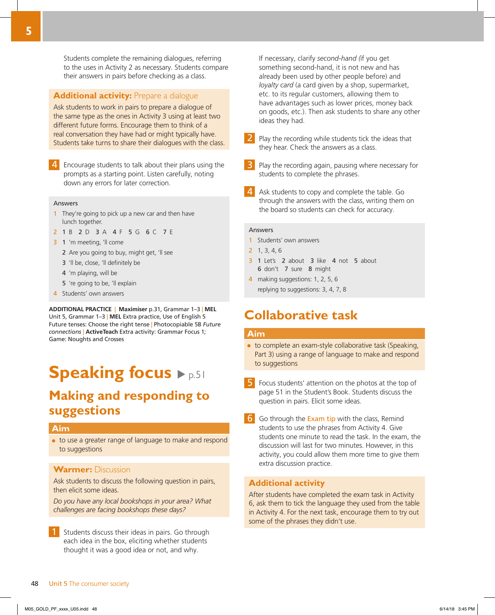Students complete the remaining dialogues, referring to the uses in Activity 2 as necessary. Students compare their answers in pairs before checking as a class.

### **Additional activity:** Prepare a dialogue

Ask students to work in pairs to prepare a dialogue of the same type as the ones in Activity 3 using at least two different future forms. Encourage them to think of a real conversation they have had or might typically have. Students take turns to share their dialogues with the class.

4 Encourage students to talk about their plans using the prompts as a starting point. Listen carefully, noting down any errors for later correction.

#### **Answers**

- 1 They're going to pick up a new car and then have lunch together.
- 2 1 B 2 D 3 A 4 F 5 G 6 C 7 E
- 3 1 'm meeting, 'll come
	- 2 Are you going to buy, might get, 'll see
	- 3 'll be, close, 'll definitely be
	- 4 'm playing, will be
	- 5 're going to be, 'll explain
- 4 Students' own answers

**ADDITIONAL PRACTICE** | **Maximiser** p.31, Grammar 1–3 | **MEL** Unit 5, Grammar 1–3 | **MEL** Extra practice, Use of English 5 Future tenses: Choose the right tense | Photocopiable 5B *Future connections* | **ActiveTeach** Extra activity: Grammar Focus 1; Game: Noughts and Crosses

# **Speaking focus**  $\blacktriangleright$  p.51

### **Making and responding to suggestions**

### **Aim**

● to use a greater range of language to make and respond to suggestions

### **Warmer:** Discussion

Ask students to discuss the following question in pairs, then elicit some ideas.

*Do you have any local bookshops in your area? What challenges are facing bookshops these days?*

1 Students discuss their ideas in pairs. Go through each idea in the box, eliciting whether students thought it was a good idea or not, and why.

If necessary, clarify *second-hand (*if you get something second-hand, it is not new and has already been used by other people before) and *loyalty card* (a card given by a shop, supermarket, etc. to its regular customers, allowing them to have advantages such as lower prices, money back on goods, etc.). Then ask students to share any other ideas they had.

- Play the recording while students tick the ideas that they hear. Check the answers as a class.
- Play the recording again, pausing where necessary for students to complete the phrases.
- Ask students to copy and complete the table. Go through the answers with the class, writing them on the board so students can check for accuracy.

#### Answers

- 1 Students' own answers
- 2 1, 3, 4, 6
- 3 1 Let's 2 about 3 like 4 not 5 about 6 don't 7 sure 8 might
- 4 making suggestions: 1, 2, 5, 6 replying to suggestions: 3, 4, 7, 8

### **Collaborative task**

### **Aim**

- to complete an exam-style collaborative task (Speaking, Part 3) using a range of language to make and respond to suggestions
- 5 Focus students' attention on the photos at the top of page 51 in the Student's Book. Students discuss the question in pairs. Elicit some ideas.
- 6 Go through the Exam tip with the class, Remind students to use the phrases from Activity 4. Give students one minute to read the task. In the exam, the discussion will last for two minutes. However, in this activity, you could allow them more time to give them extra discussion practice.

### **Additional activity**

After students have completed the exam task in Activity 6, ask them to tick the language they used from the table in Activity 4. For the next task, encourage them to try out some of the phrases they didn't use.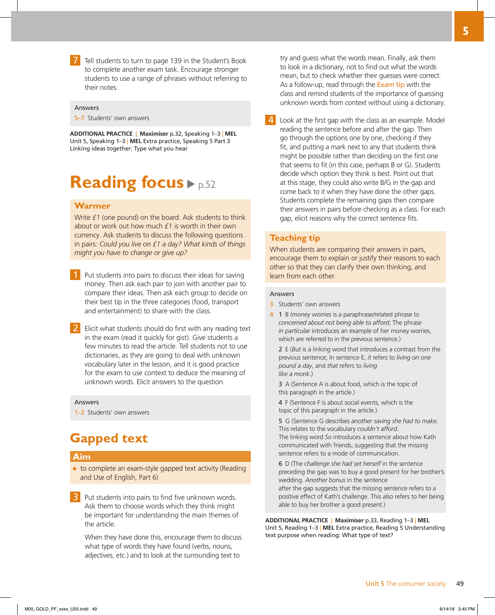7 Tell students to turn to page 139 in the Student's Book to complete another exam task. Encourage stronger students to use a range of phrases without referring to their notes.

#### Answers

5–7 Students' own answers

**ADDITIONAL PRACTICE** | **Maximiser** p.32, Speaking 1–3 | **MEL** Unit 5, Speaking 1–3 | **MEL** Extra practice, Speaking 5 Part 3 Linking ideas together: Type what you hear

# **Reading focus**  $\blacktriangleright$  p.52

### **Warmer**

Write *£1* (one pound) on the board. Ask students to think about or work out how much *£1* is worth in their own currency. Ask students to discuss the following questions in pairs: *Could you live on £1 a day? What kinds of things might you have to change or give up?*

- **1** Put students into pairs to discuss their ideas for saving money. Then ask each pair to join with another pair to compare their ideas. Then ask each group to decide on their best tip in the three categories (food, transport and entertainment) to share with the class.
- 2 Elicit what students should do first with any reading text in the exam (read it quickly for gist). Give students a few minutes to read the article. Tell students not to use dictionaries, as they are going to deal with unknown vocabulary later in the lesson, and it is good practice for the exam to use context to deduce the meaning of unknown words. Elicit answers to the question.

#### Answers

1–2 Students' own answers

### **Gapped text**

### **Aim**

- to complete an exam-style gapped text activity (Reading and Use of English, Part 6)
- Put students into pairs to find five unknown words. Ask them to choose words which they think might be important for understanding the main themes of the article.

When they have done this, encourage them to discuss what type of words they have found (verbs, nouns, adjectives, etc.) and to look at the surrounding text to

try and guess what the words mean. Finally, ask them to look in a dictionary, not to find out what the words mean, but to check whether their guesses were correct. As a follow-up, read through the Exam tip with the class and remind students of the importance of guessing unknown words from context without using a dictionary.

4 Look at the first gap with the class as an example. Model reading the sentence before and after the gap. Then go through the options one by one, checking if they fit, and putting a mark next to any that students think might be possible rather than deciding on the first one that seems to fit (in this case, perhaps B or G). Students decide which option they think is best. Point out that at this stage, they could also write B/G in the gap and come back to it when they have done the other gaps. Students complete the remaining gaps then compare their answers in pairs before checking as a class. For each gap, elicit reasons why the correct sentence fits.

### **Teaching tip**

When students are comparing their answers in pairs, encourage them to explain or justify their reasons to each other so that they can clarify their own thinking, and learn from each other.

#### Answers

- 3 Students' own answers
- 4 1 B (*money worries* is a paraphrase/related phrase to *concerned about not being able to afford*; The phrase *in particular* introduces an example of her money worries, which are referred to in the previous sentence.)

 2 E (*But* is a linking word that introduces a contrast from the previous sentence; In sentence E, *it* refers to *living on one pound a day*, and *that* refers to *living like a monk*.)

 3 A (Sentence A is about food, which is the topic of this paragraph in the article.)

 4 F (Sentence F is about social events, which is the topic of this paragraph in the article.)

 5 G (Sentence G describes *another saving she had to make*. This relates to the vocabulary *couldn't afford*. The linking word *So* introduces a sentence about how Kath communicated with friends, suggesting that the missing sentence refers to a mode of communication.

 6 D (The *challenge she had set herself* in the sentence preceding the gap was to buy a good present for her brother's wedding. *Another bonus* in the sentence after the gap suggests that the missing sentence refers to a positive effect of Kath's challenge. This also refers to her being able to buy her brother a good present.)

**ADDITIONAL PRACTICE** | **Maximiser** p.33, Reading 1–3 | **MEL** Unit 5, Reading 1–3 | **MEL** Extra practice, Reading 5 Understanding text purpose when reading: What type of text?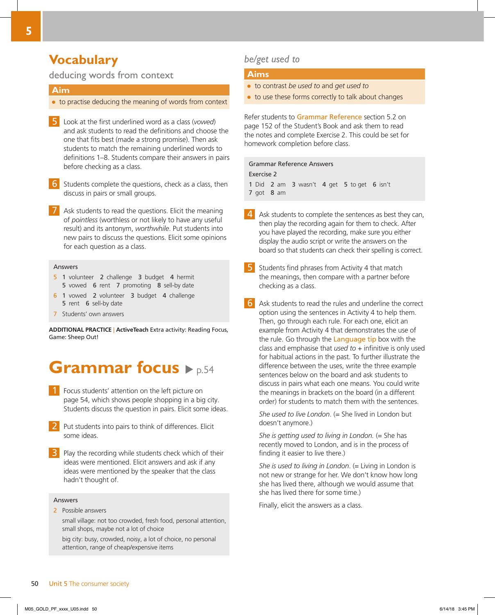### **Vocabulary**

### deducing words from context

### **Aim**

- to practise deducing the meaning of words from context
- 5 Look at the first underlined word as a class (*vowed*) and ask students to read the definitions and choose the one that fits best (made a strong promise). Then ask students to match the remaining underlined words to definitions 1–8. Students compare their answers in pairs before checking as a class.
- 6 Students complete the questions, check as a class, then discuss in pairs or small groups.
- Ask students to read the questions. Elicit the meaning of *pointless* (worthless or not likely to have any useful result) and its antonym, *worthwhile*. Put students into new pairs to discuss the questions. Elicit some opinions for each question as a class.

### Answers

- 5 1 volunteer 2 challenge 3 budget 4 hermit 5 vowed 6 rent 7 promoting 8 sell-by date
- 6 1 vowed 2 volunteer 3 budget 4 challenge 5 rent 6 sell-by date
- 7 Students' own answers

**ADDITIONAL PRACTICE** | **ActiveTeach** Extra activity: Reading Focus, Game: Sheep Out!

# **Grammar focus**  $\blacktriangleright$  p.54

- 1 Focus students' attention on the left picture on page 54, which shows people shopping in a big city. Students discuss the question in pairs. Elicit some ideas.
- Put students into pairs to think of differences. Elicit some ideas.
- **3** Play the recording while students check which of their ideas were mentioned. Elicit answers and ask if any ideas were mentioned by the speaker that the class hadn't thought of.

### **Answers**

2 Possible answers

 small village: not too crowded, fresh food, personal attention, small shops, maybe not a lot of choice

 big city: busy, crowded, noisy, a lot of choice, no personal attention, range of cheap/expensive items

### *be/get used to*

### **Aims**

- to contrast *be used to* and *get used to*
- to use these forms correctly to talk about changes

Refer students to Grammar Reference section 5.2 on page 152 of the Student's Book and ask them to read the notes and complete Exercise 2. This could be set for homework completion before class.

### Grammar Reference Answers

Exercise 2 1 Did 2 am 3 wasn't 4 get 5 to get 6 isn't 7 got 8 am

- 4 Ask students to complete the sentences as best they can, then play the recording again for them to check. After you have played the recording, make sure you either display the audio script or write the answers on the board so that students can check their spelling is correct.
- 5 Students find phrases from Activity 4 that match the meanings, then compare with a partner before checking as a class.
- 6 Ask students to read the rules and underline the correct option using the sentences in Activity 4 to help them. Then, go through each rule. For each one, elicit an example from Activity 4 that demonstrates the use of the rule. Go through the Language tip box with the class and emphasise that *used to* + infinitive is only used for habitual actions in the past. To further illustrate the difference between the uses, write the three example sentences below on the board and ask students to discuss in pairs what each one means. You could write the meanings in brackets on the board (in a different order) for students to match them with the sentences.

*She used to live London.* (= She lived in London but doesn't anymore.)

*She is getting used to living in London.* (= She has recently moved to London, and is in the process of finding it easier to live there.)

*She is used to living in London*. (= Living in London is not new or strange for her. We don't know how long she has lived there, although we would assume that she has lived there for some time.)

Finally, elicit the answers as a class.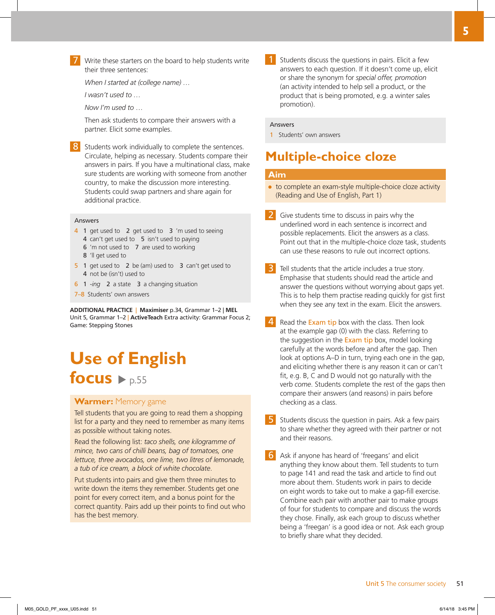

*When I started at (college name) …*

*I wasn't used to …* 

*Now I'm used to* …

Then ask students to compare their answers with a partner. Elicit some examples.

8 Students work individually to complete the sentences. Circulate, helping as necessary. Students compare their answers in pairs. If you have a multinational class, make sure students are working with someone from another country, to make the discussion more interesting. Students could swap partners and share again for additional practice.

### Answers

- 4 1 get used to 2 get used to 3 'm used to seeing
	- 4 can't get used to 5 isn't used to paying
	- 6 'm not used to 7 are used to working
	- 8 'll get used to
- 5 1 get used to 2 be (am) used to 3 can't get used to 4 not be (isn't) used to
- 6 1 *-ing* 2 a state 3 a changing situation
- 7–8 Students' own answers

**ADDITIONAL PRACTICE** | **Maximiser** p.34, Grammar 1–2 | **MEL** Unit 5, Grammar 1–2 | **ActiveTeach** Extra activity: Grammar Focus 2; Game: Stepping Stones

# **Use of English**  focus  $\rightharpoonup p.55$

### **Warmer:** Memory game

Tell students that you are going to read them a shopping list for a party and they need to remember as many items as possible without taking notes.

Read the following list: *taco shells, one kilogramme of mince, two cans of chilli beans, bag of tomatoes, one lettuce, three avocados, one lime, two litres of lemonade, a tub of ice cream, a block of white chocolate*.

Put students into pairs and give them three minutes to write down the items they remember. Students get one point for every correct item, and a bonus point for the correct quantity. Pairs add up their points to find out who has the best memory.

Students discuss the questions in pairs. Elicit a few answers to each question. If it doesn't come up, elicit or share the synonym for *special offer, promotion*  (an activity intended to help sell a product, or the product that is being promoted, e.g. a winter sales promotion).

#### **Answers**

1 Students' own answers

### **Multiple-choice cloze**

### **Aim**

- to complete an exam-style multiple-choice cloze activity (Reading and Use of English, Part 1)
- Give students time to discuss in pairs why the underlined word in each sentence is incorrect and possible replacements. Elicit the answers as a class. Point out that in the multiple-choice cloze task, students can use these reasons to rule out incorrect options.
- Tell students that the article includes a true story. Emphasise that students should read the article and answer the questions without worrying about gaps yet. This is to help them practise reading quickly for gist first when they see any text in the exam. Elicit the answers.
- 4 Read the Exam tip box with the class. Then look at the example gap (0) with the class. Referring to the suggestion in the Exam tip box, model looking carefully at the words before and after the gap. Then look at options A–D in turn, trying each one in the gap, and eliciting whether there is any reason it can or can't fit, e.g. B, C and D would not go naturally with the verb *come*. Students complete the rest of the gaps then compare their answers (and reasons) in pairs before checking as a class.
- 5 Students discuss the question in pairs. Ask a few pairs to share whether they agreed with their partner or not and their reasons.
- Ask if anyone has heard of 'freegans' and elicit anything they know about them. Tell students to turn to page 141 and read the task and article to find out more about them. Students work in pairs to decide on eight words to take out to make a gap-fill exercise. Combine each pair with another pair to make groups of four for students to compare and discuss the words they chose. Finally, ask each group to discuss whether being a 'freegan' is a good idea or not. Ask each group to briefly share what they decided.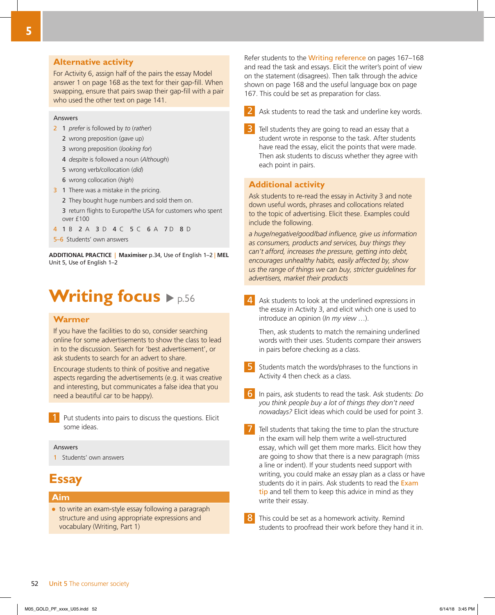### **Alternative activity**

For Activity 6, assign half of the pairs the essay Model answer 1 on page 168 as the text for their gap-fill. When swapping, ensure that pairs swap their gap-fill with a pair who used the other text on page 141.

### Answers

- 2 1 *prefer* is followed by *to* (*rather*)
	- 2 wrong preposition (*gave* up)
	- 3 wrong preposition (*looking for*)
	- 4 *despite* is followed a noun (*Although*)
	- 5 wrong verb/collocation (*did*)
	- 6 wrong collocation (*high*)
- 3 1 There was a mistake in the pricing.
	- 2 They bought huge numbers and sold them on.

 3 return flights to Europe/the USA for customers who spent over £100

4 1 B 2 A 3 D 4 C 5 C 6 A 7 D 8 D

5–6 Students' own answers

**ADDITIONAL PRACTICE** | **Maximiser** p.34, Use of English 1–2 | **MEL** Unit 5, Use of English 1–2

# **Writing focus**  $\rho_{p.56}$

### **Warmer**

If you have the facilities to do so, consider searching online for some advertisements to show the class to lead in to the discussion. Search for 'best advertisement', or ask students to search for an advert to share.

Encourage students to think of positive and negative aspects regarding the advertisements (e.g. it was creative and interesting, but communicates a false idea that you need a beautiful car to be happy).

Put students into pairs to discuss the questions. Elicit some ideas.

### Answers

1 Students' own answers

### **Essay**

### **Aim**

● to write an exam-style essay following a paragraph structure and using appropriate expressions and vocabulary (Writing, Part 1)

Refer students to the Writing reference on pages 167–168 and read the task and essays. Elicit the writer's point of view on the statement (disagrees). Then talk through the advice shown on page 168 and the useful language box on page 167. This could be set as preparation for class.

- Ask students to read the task and underline key words.
- Tell students they are going to read an essay that a student wrote in response to the task. After students have read the essay, elicit the points that were made. Then ask students to discuss whether they agree with each point in pairs.

### **Additional activity**

Ask students to re-read the essay in Activity 3 and note down useful words, phrases and collocations related to the topic of advertising. Elicit these. Examples could include the following.

*a huge/negative/good/bad influence, give us information as consumers, products and services, buy things they can't afford, increases the pressure, getting into debt, encourages unhealthy habits, easily affected by, show us the range of things we can buy, stricter guidelines for advertisers, market their products*

Ask students to look at the underlined expressions in the essay in Activity 3, and elicit which one is used to introduce an opinion (*In my view* …).

Then, ask students to match the remaining underlined words with their uses. Students compare their answers in pairs before checking as a class.

- 5 Students match the words/phrases to the functions in Activity 4 then check as a class.
- 6 In pairs, ask students to read the task. Ask students: *Do you think people buy a lot of things they don't need nowadays?* Elicit ideas which could be used for point 3.
	- 7 Tell students that taking the time to plan the structure in the exam will help them write a well-structured essay, which will get them more marks. Elicit how they are going to show that there is a new paragraph (miss a line or indent). If your students need support with writing, you could make an essay plan as a class or have students do it in pairs. Ask students to read the Exam tip and tell them to keep this advice in mind as they write their essay.
- 8 This could be set as a homework activity. Remind students to proofread their work before they hand it in.